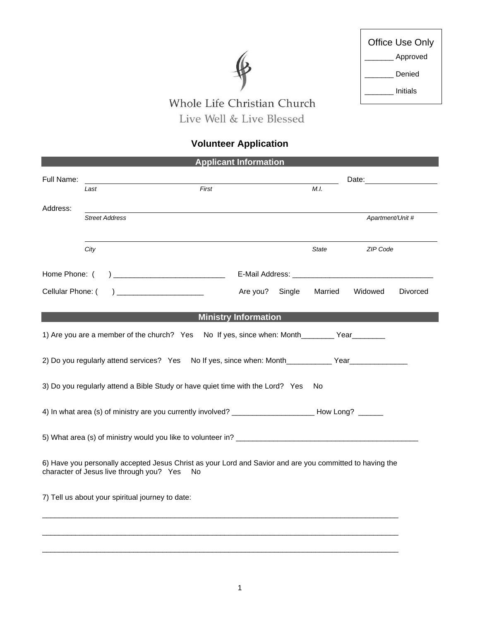

Г

## Whole Life Christian Church Live Well & Live Blessed

## **Volunteer Application**

| <b>Applicant Information</b>                                                                                                                               |                                                  |                             |         |                                                                                                                                                                                                                               |  |
|------------------------------------------------------------------------------------------------------------------------------------------------------------|--------------------------------------------------|-----------------------------|---------|-------------------------------------------------------------------------------------------------------------------------------------------------------------------------------------------------------------------------------|--|
| Full Name:                                                                                                                                                 |                                                  |                             |         | Date: and the contract of the contract of the contract of the contract of the contract of the contract of the contract of the contract of the contract of the contract of the contract of the contract of the contract of the |  |
|                                                                                                                                                            | First<br>Last                                    |                             | M.I.    |                                                                                                                                                                                                                               |  |
| Address:                                                                                                                                                   |                                                  |                             |         |                                                                                                                                                                                                                               |  |
|                                                                                                                                                            | <b>Street Address</b>                            |                             |         | Apartment/Unit #                                                                                                                                                                                                              |  |
|                                                                                                                                                            |                                                  |                             |         |                                                                                                                                                                                                                               |  |
|                                                                                                                                                            | City                                             |                             | State   | ZIP Code                                                                                                                                                                                                                      |  |
| Home Phone: (                                                                                                                                              |                                                  |                             |         |                                                                                                                                                                                                                               |  |
| Cellular Phone: (                                                                                                                                          | <u> 1980 - Jan James James Barbara, martin d</u> | Single<br>Are you?          | Married | Widowed<br>Divorced                                                                                                                                                                                                           |  |
|                                                                                                                                                            |                                                  | <b>Ministry Information</b> |         |                                                                                                                                                                                                                               |  |
| 1) Are you are a member of the church? Yes<br>No If yes, since when: Month____________ Year__________                                                      |                                                  |                             |         |                                                                                                                                                                                                                               |  |
| 2) Do you regularly attend services? Yes No If yes, since when: Month___________ Year______________                                                        |                                                  |                             |         |                                                                                                                                                                                                                               |  |
| 3) Do you regularly attend a Bible Study or have quiet time with the Lord? Yes<br>No.                                                                      |                                                  |                             |         |                                                                                                                                                                                                                               |  |
|                                                                                                                                                            |                                                  |                             |         |                                                                                                                                                                                                                               |  |
|                                                                                                                                                            |                                                  |                             |         |                                                                                                                                                                                                                               |  |
| 6) Have you personally accepted Jesus Christ as your Lord and Savior and are you committed to having the<br>character of Jesus live through you? Yes<br>No |                                                  |                             |         |                                                                                                                                                                                                                               |  |
| 7) Tell us about your spiritual journey to date:                                                                                                           |                                                  |                             |         |                                                                                                                                                                                                                               |  |
|                                                                                                                                                            |                                                  |                             |         |                                                                                                                                                                                                                               |  |
|                                                                                                                                                            |                                                  |                             |         |                                                                                                                                                                                                                               |  |